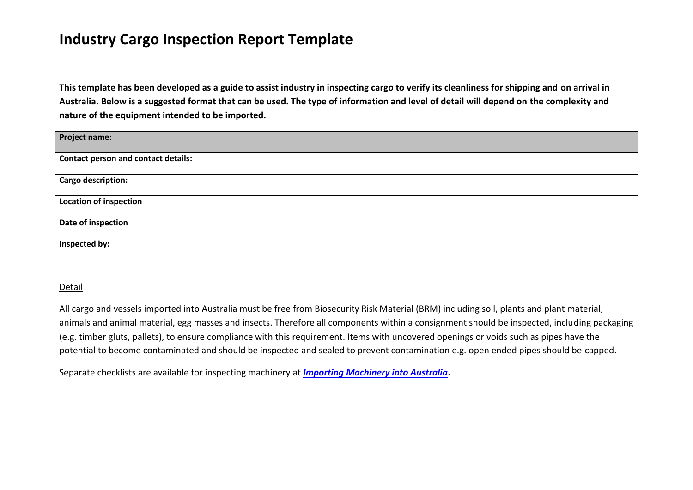## **Industry Cargo Inspection Report Template**

**This template has been developed as a guide to assist industry in inspecting cargo to verify its cleanliness for shipping and on arrival in Australia. Below is a suggested format that can be used. The type of information and level of detail will depend on the complexity and nature of the equipment intended to be imported.**

| <b>Project name:</b>                       |  |
|--------------------------------------------|--|
| <b>Contact person and contact details:</b> |  |
| Cargo description:                         |  |
| <b>Location of inspection</b>              |  |
| Date of inspection                         |  |
| Inspected by:                              |  |

## Detail

All cargo and vessels imported into Australia must be free from Biosecurity Risk Material (BRM) including soil, plants and plant material, animals and animal material, egg masses and insects. Therefore all components within a consignment should be inspected, including packaging (e.g. timber gluts, pallets), to ensure compliance with this requirement. Items with uncovered openings or voids such as pipes have the potential to become contaminated and should be inspected and sealed to prevent contamination e.g. open ended pipes should be capped.

Separate checklists are available for inspecting machinery at *[Importing Machinery into Australia](http://www.daff.gov.au/biosecurity/import/vehicles-machinery/regulations)***.**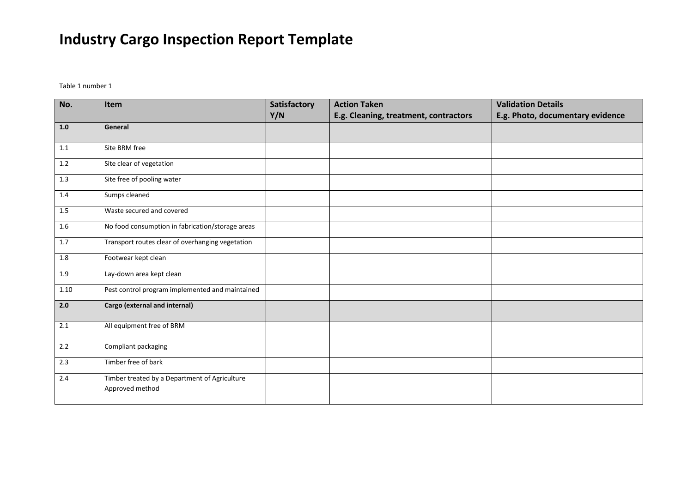## **Industry Cargo Inspection Report Template**

Table 1 number 1

| No.     | Item                                                             | Satisfactory | <b>Action Taken</b>                   | <b>Validation Details</b>        |
|---------|------------------------------------------------------------------|--------------|---------------------------------------|----------------------------------|
|         |                                                                  | Y/N          | E.g. Cleaning, treatment, contractors | E.g. Photo, documentary evidence |
| 1.0     | General                                                          |              |                                       |                                  |
| 1.1     | Site BRM free                                                    |              |                                       |                                  |
| 1.2     | Site clear of vegetation                                         |              |                                       |                                  |
| 1.3     | Site free of pooling water                                       |              |                                       |                                  |
| 1.4     | Sumps cleaned                                                    |              |                                       |                                  |
| 1.5     | Waste secured and covered                                        |              |                                       |                                  |
| 1.6     | No food consumption in fabrication/storage areas                 |              |                                       |                                  |
| 1.7     | Transport routes clear of overhanging vegetation                 |              |                                       |                                  |
| $1.8\,$ | Footwear kept clean                                              |              |                                       |                                  |
| 1.9     | Lay-down area kept clean                                         |              |                                       |                                  |
| 1.10    | Pest control program implemented and maintained                  |              |                                       |                                  |
| 2.0     | Cargo (external and internal)                                    |              |                                       |                                  |
| 2.1     | All equipment free of BRM                                        |              |                                       |                                  |
| 2.2     | Compliant packaging                                              |              |                                       |                                  |
| 2.3     | Timber free of bark                                              |              |                                       |                                  |
| 2.4     | Timber treated by a Department of Agriculture<br>Approved method |              |                                       |                                  |